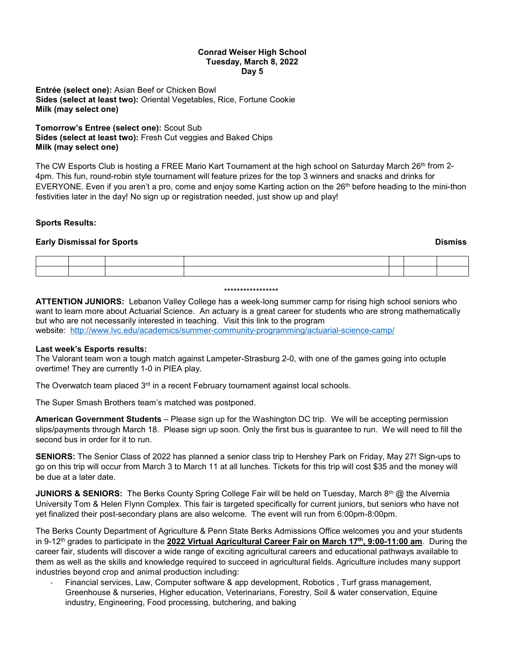## **Conrad Weiser High School Tuesday, March 8, 2022 Day 5**

**Entrée (select one):** Asian Beef or Chicken Bowl **Sides (select at least two):** Oriental Vegetables, Rice, Fortune Cookie **Milk (may select one)**

**Tomorrow's Entree (select one):** Scout Sub **Sides (select at least two):** Fresh Cut veggies and Baked Chips **Milk (may select one)**

The CW Esports Club is hosting a FREE Mario Kart Tournament at the high school on Saturday March 26<sup>th</sup> from 2-4pm. This fun, round-robin style tournament will feature prizes for the top 3 winners and snacks and drinks for EVERYONE. Even if you aren't a pro, come and enjoy some Karting action on the 26<sup>th</sup> before heading to the mini-thon festivities later in the day! No sign up or registration needed, just show up and play!

# **Sports Results:**

## **Early Dismissal for Sports Dismiss**

#### \*\*\*\*\*\*\*\*\*\*\*\*\*\*\*\*\*

**ATTENTION JUNIORS:** Lebanon Valley College has a week-long summer camp for rising high school seniors who want to learn more about Actuarial Science. An actuary is a great career for students who are strong mathematically but who are not necessarily interested in teaching. Visit this link to the program website: <http://www.lvc.edu/academics/summer-community-programming/actuarial-science-camp/>

## **Last week's Esports results:**

The Valorant team won a tough match against Lampeter-Strasburg 2-0, with one of the games going into octuple overtime! They are currently 1-0 in PIEA play.

The Overwatch team placed  $3<sup>rd</sup>$  in a recent February tournament against local schools.

The Super Smash Brothers team's matched was postponed.

**American Government Students** – Please sign up for the Washington DC trip. We will be accepting permission slips/payments through March 18. Please sign up soon. Only the first bus is guarantee to run. We will need to fill the second bus in order for it to run.

**SENIORS:** The Senior Class of 2022 has planned a senior class trip to Hershey Park on Friday, May 27! Sign-ups to go on this trip will occur from March 3 to March 11 at all lunches. Tickets for this trip will cost \$35 and the money will be due at a later date.

**JUNIORS & SENIORS:** The Berks County Spring College Fair will be held on Tuesday, March 8<sup>th</sup> @ the Alvernia University Tom & Helen Flynn Complex. This fair is targeted specifically for current juniors, but seniors who have not yet finalized their post-secondary plans are also welcome. The event will run from 6:00pm-8:00pm.

The Berks County Department of Agriculture & Penn State Berks Admissions Office welcomes you and your students in 9-12th grades to participate in the **2022 Virtual Agricultural Career Fair on March 17th, 9:00-11:00 am**. During the career fair, students will discover a wide range of exciting agricultural careers and educational pathways available to them as well as the skills and knowledge required to succeed in agricultural fields. Agriculture includes many support industries beyond crop and animal production including:

- Financial services, Law, Computer software & app development, Robotics , Turf grass management, Greenhouse & nurseries, Higher education, Veterinarians, Forestry, Soil & water conservation, Equine industry, Engineering, Food processing, butchering, and baking